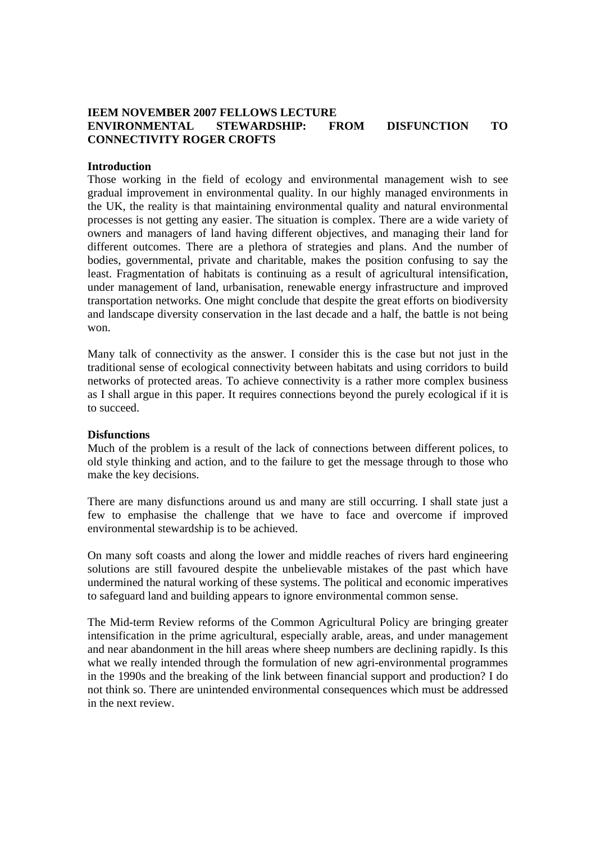## **IEEM NOVEMBER 2007 FELLOWS LECTURE ENVIRONMENTAL STEWARDSHIP: FROM DISFUNCTION TO CONNECTIVITY ROGER CROFTS**

### **Introduction**

Those working in the field of ecology and environmental management wish to see gradual improvement in environmental quality. In our highly managed environments in the UK, the reality is that maintaining environmental quality and natural environmental processes is not getting any easier. The situation is complex. There are a wide variety of owners and managers of land having different objectives, and managing their land for different outcomes. There are a plethora of strategies and plans. And the number of bodies, governmental, private and charitable, makes the position confusing to say the least. Fragmentation of habitats is continuing as a result of agricultural intensification, under management of land, urbanisation, renewable energy infrastructure and improved transportation networks. One might conclude that despite the great efforts on biodiversity and landscape diversity conservation in the last decade and a half, the battle is not being won.

Many talk of connectivity as the answer. I consider this is the case but not just in the traditional sense of ecological connectivity between habitats and using corridors to build networks of protected areas. To achieve connectivity is a rather more complex business as I shall argue in this paper. It requires connections beyond the purely ecological if it is to succeed.

### **Disfunctions**

Much of the problem is a result of the lack of connections between different polices, to old style thinking and action, and to the failure to get the message through to those who make the key decisions.

There are many disfunctions around us and many are still occurring. I shall state just a few to emphasise the challenge that we have to face and overcome if improved environmental stewardship is to be achieved.

On many soft coasts and along the lower and middle reaches of rivers hard engineering solutions are still favoured despite the unbelievable mistakes of the past which have undermined the natural working of these systems. The political and economic imperatives to safeguard land and building appears to ignore environmental common sense.

The Mid-term Review reforms of the Common Agricultural Policy are bringing greater intensification in the prime agricultural, especially arable, areas, and under management and near abandonment in the hill areas where sheep numbers are declining rapidly. Is this what we really intended through the formulation of new agri-environmental programmes in the 1990s and the breaking of the link between financial support and production? I do not think so. There are unintended environmental consequences which must be addressed in the next review.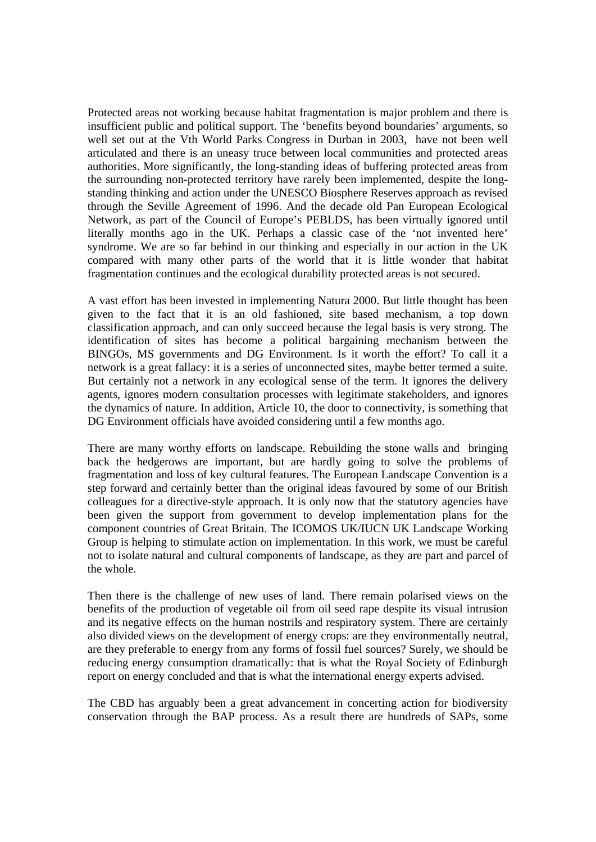Protected areas not working because habitat fragmentation is major problem and there is insufficient public and political support. The 'benefits beyond boundaries' arguments, so well set out at the Vth World Parks Congress in Durban in 2003, have not been well articulated and there is an uneasy truce between local communities and protected areas authorities. More significantly, the long-standing ideas of buffering protected areas from the surrounding non-protected territory have rarely been implemented, despite the longstanding thinking and action under the UNESCO Biosphere Reserves approach as revised through the Seville Agreement of 1996. And the decade old Pan European Ecological Network, as part of the Council of Europe's PEBLDS, has been virtually ignored until literally months ago in the UK. Perhaps a classic case of the 'not invented here' syndrome. We are so far behind in our thinking and especially in our action in the UK compared with many other parts of the world that it is little wonder that habitat fragmentation continues and the ecological durability protected areas is not secured.

A vast effort has been invested in implementing Natura 2000. But little thought has been given to the fact that it is an old fashioned, site based mechanism, a top down classification approach, and can only succeed because the legal basis is very strong. The identification of sites has become a political bargaining mechanism between the BINGOs, MS governments and DG Environment. Is it worth the effort? To call it a network is a great fallacy: it is a series of unconnected sites, maybe better termed a suite. But certainly not a network in any ecological sense of the term. It ignores the delivery agents, ignores modern consultation processes with legitimate stakeholders, and ignores the dynamics of nature. In addition, Article 10, the door to connectivity, is something that DG Environment officials have avoided considering until a few months ago.

There are many worthy efforts on landscape. Rebuilding the stone walls and bringing back the hedgerows are important, but are hardly going to solve the problems of fragmentation and loss of key cultural features. The European Landscape Convention is a step forward and certainly better than the original ideas favoured by some of our British colleagues for a directive-style approach. It is only now that the statutory agencies have been given the support from government to develop implementation plans for the component countries of Great Britain. The ICOMOS UK/IUCN UK Landscape Working Group is helping to stimulate action on implementation. In this work, we must be careful not to isolate natural and cultural components of landscape, as they are part and parcel of the whole.

Then there is the challenge of new uses of land. There remain polarised views on the benefits of the production of vegetable oil from oil seed rape despite its visual intrusion and its negative effects on the human nostrils and respiratory system. There are certainly also divided views on the development of energy crops: are they environmentally neutral, are they preferable to energy from any forms of fossil fuel sources? Surely, we should be reducing energy consumption dramatically: that is what the Royal Society of Edinburgh report on energy concluded and that is what the international energy experts advised.

The CBD has arguably been a great advancement in concerting action for biodiversity conservation through the BAP process. As a result there are hundreds of SAPs, some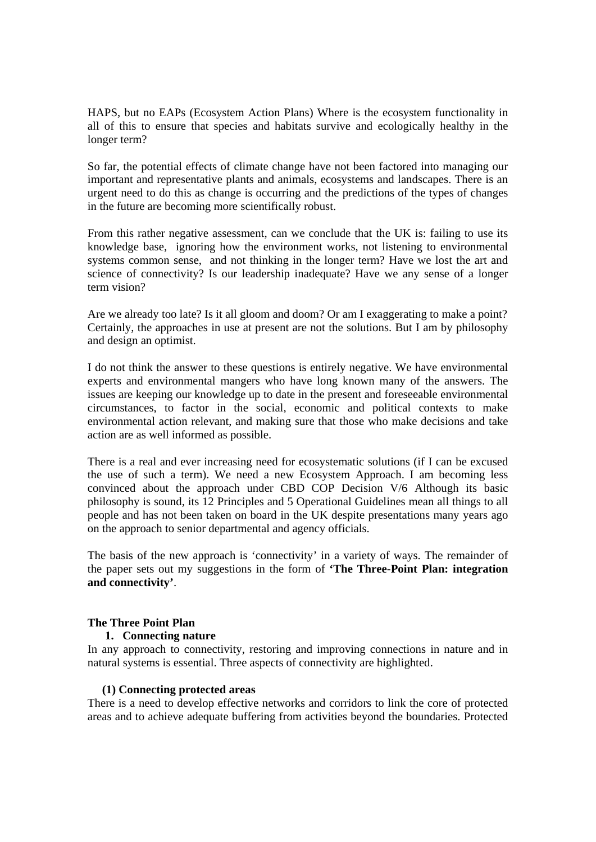HAPS, but no EAPs (Ecosystem Action Plans) Where is the ecosystem functionality in all of this to ensure that species and habitats survive and ecologically healthy in the longer term?

So far, the potential effects of climate change have not been factored into managing our important and representative plants and animals, ecosystems and landscapes. There is an urgent need to do this as change is occurring and the predictions of the types of changes in the future are becoming more scientifically robust.

From this rather negative assessment, can we conclude that the UK is: failing to use its knowledge base, ignoring how the environment works, not listening to environmental systems common sense, and not thinking in the longer term? Have we lost the art and science of connectivity? Is our leadership inadequate? Have we any sense of a longer term vision?

Are we already too late? Is it all gloom and doom? Or am I exaggerating to make a point? Certainly, the approaches in use at present are not the solutions. But I am by philosophy and design an optimist.

I do not think the answer to these questions is entirely negative. We have environmental experts and environmental mangers who have long known many of the answers. The issues are keeping our knowledge up to date in the present and foreseeable environmental circumstances, to factor in the social, economic and political contexts to make environmental action relevant, and making sure that those who make decisions and take action are as well informed as possible.

There is a real and ever increasing need for ecosystematic solutions (if I can be excused the use of such a term). We need a new Ecosystem Approach. I am becoming less convinced about the approach under CBD COP Decision V/6 Although its basic philosophy is sound, its 12 Principles and 5 Operational Guidelines mean all things to all people and has not been taken on board in the UK despite presentations many years ago on the approach to senior departmental and agency officials.

The basis of the new approach is 'connectivity' in a variety of ways. The remainder of the paper sets out my suggestions in the form of **'The Three-Point Plan: integration and connectivity'**.

## **The Three Point Plan**

## **1. Connecting nature**

In any approach to connectivity, restoring and improving connections in nature and in natural systems is essential. Three aspects of connectivity are highlighted.

## **(1) Connecting protected areas**

There is a need to develop effective networks and corridors to link the core of protected areas and to achieve adequate buffering from activities beyond the boundaries. Protected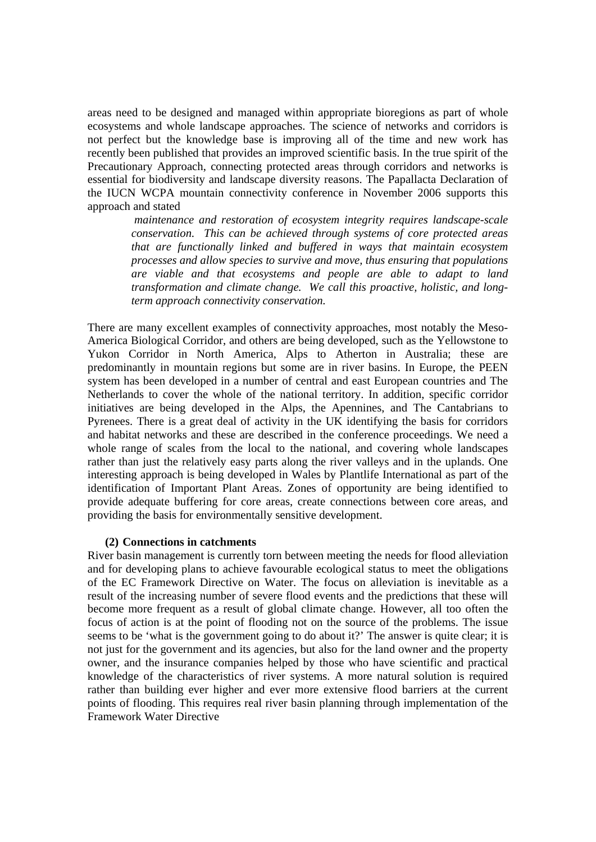areas need to be designed and managed within appropriate bioregions as part of whole ecosystems and whole landscape approaches. The science of networks and corridors is not perfect but the knowledge base is improving all of the time and new work has recently been published that provides an improved scientific basis. In the true spirit of the Precautionary Approach, connecting protected areas through corridors and networks is essential for biodiversity and landscape diversity reasons. The Papallacta Declaration of the IUCN WCPA mountain connectivity conference in November 2006 supports this approach and stated

> *maintenance and restoration of ecosystem integrity requires landscape-scale conservation. This can be achieved through systems of core protected areas that are functionally linked and buffered in ways that maintain ecosystem processes and allow species to survive and move, thus ensuring that populations are viable and that ecosystems and people are able to adapt to land transformation and climate change. We call this proactive, holistic, and longterm approach connectivity conservation.*

There are many excellent examples of connectivity approaches, most notably the Meso-America Biological Corridor, and others are being developed, such as the Yellowstone to Yukon Corridor in North America, Alps to Atherton in Australia; these are predominantly in mountain regions but some are in river basins. In Europe, the PEEN system has been developed in a number of central and east European countries and The Netherlands to cover the whole of the national territory. In addition, specific corridor initiatives are being developed in the Alps, the Apennines, and The Cantabrians to Pyrenees. There is a great deal of activity in the UK identifying the basis for corridors and habitat networks and these are described in the conference proceedings. We need a whole range of scales from the local to the national, and covering whole landscapes rather than just the relatively easy parts along the river valleys and in the uplands. One interesting approach is being developed in Wales by Plantlife International as part of the identification of Important Plant Areas. Zones of opportunity are being identified to provide adequate buffering for core areas, create connections between core areas, and providing the basis for environmentally sensitive development.

#### **(2) Connections in catchments**

River basin management is currently torn between meeting the needs for flood alleviation and for developing plans to achieve favourable ecological status to meet the obligations of the EC Framework Directive on Water. The focus on alleviation is inevitable as a result of the increasing number of severe flood events and the predictions that these will become more frequent as a result of global climate change. However, all too often the focus of action is at the point of flooding not on the source of the problems. The issue seems to be 'what is the government going to do about it?' The answer is quite clear; it is not just for the government and its agencies, but also for the land owner and the property owner, and the insurance companies helped by those who have scientific and practical knowledge of the characteristics of river systems. A more natural solution is required rather than building ever higher and ever more extensive flood barriers at the current points of flooding. This requires real river basin planning through implementation of the Framework Water Directive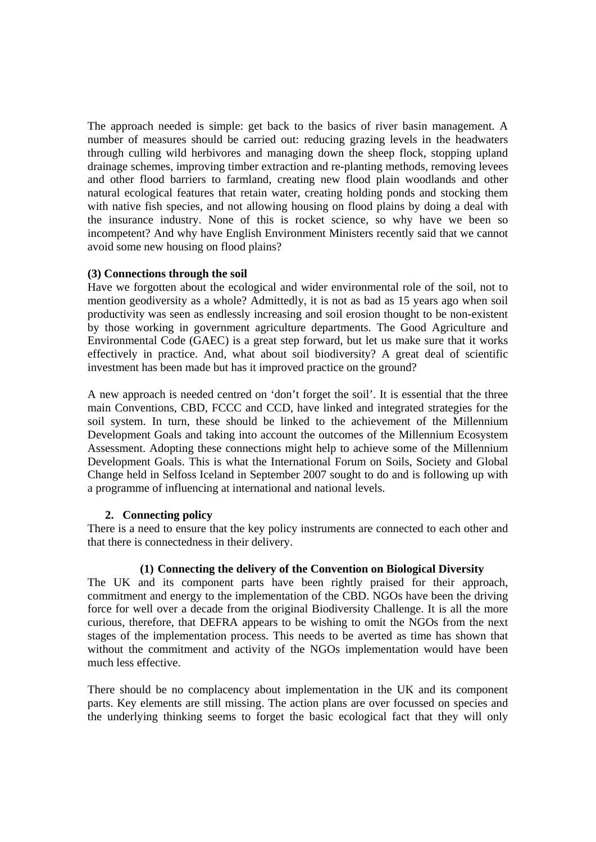The approach needed is simple: get back to the basics of river basin management. A number of measures should be carried out: reducing grazing levels in the headwaters through culling wild herbivores and managing down the sheep flock, stopping upland drainage schemes, improving timber extraction and re-planting methods, removing levees and other flood barriers to farmland, creating new flood plain woodlands and other natural ecological features that retain water, creating holding ponds and stocking them with native fish species, and not allowing housing on flood plains by doing a deal with the insurance industry. None of this is rocket science, so why have we been so incompetent? And why have English Environment Ministers recently said that we cannot avoid some new housing on flood plains?

## **(3) Connections through the soil**

Have we forgotten about the ecological and wider environmental role of the soil, not to mention geodiversity as a whole? Admittedly, it is not as bad as 15 years ago when soil productivity was seen as endlessly increasing and soil erosion thought to be non-existent by those working in government agriculture departments. The Good Agriculture and Environmental Code (GAEC) is a great step forward, but let us make sure that it works effectively in practice. And, what about soil biodiversity? A great deal of scientific investment has been made but has it improved practice on the ground?

A new approach is needed centred on 'don't forget the soil'. It is essential that the three main Conventions, CBD, FCCC and CCD, have linked and integrated strategies for the soil system. In turn, these should be linked to the achievement of the Millennium Development Goals and taking into account the outcomes of the Millennium Ecosystem Assessment. Adopting these connections might help to achieve some of the Millennium Development Goals. This is what the International Forum on Soils, Society and Global Change held in Selfoss Iceland in September 2007 sought to do and is following up with a programme of influencing at international and national levels.

## **2. Connecting policy**

There is a need to ensure that the key policy instruments are connected to each other and that there is connectedness in their delivery.

## **(1) Connecting the delivery of the Convention on Biological Diversity**

The UK and its component parts have been rightly praised for their approach, commitment and energy to the implementation of the CBD. NGOs have been the driving force for well over a decade from the original Biodiversity Challenge. It is all the more curious, therefore, that DEFRA appears to be wishing to omit the NGOs from the next stages of the implementation process. This needs to be averted as time has shown that without the commitment and activity of the NGOs implementation would have been much less effective.

There should be no complacency about implementation in the UK and its component parts. Key elements are still missing. The action plans are over focussed on species and the underlying thinking seems to forget the basic ecological fact that they will only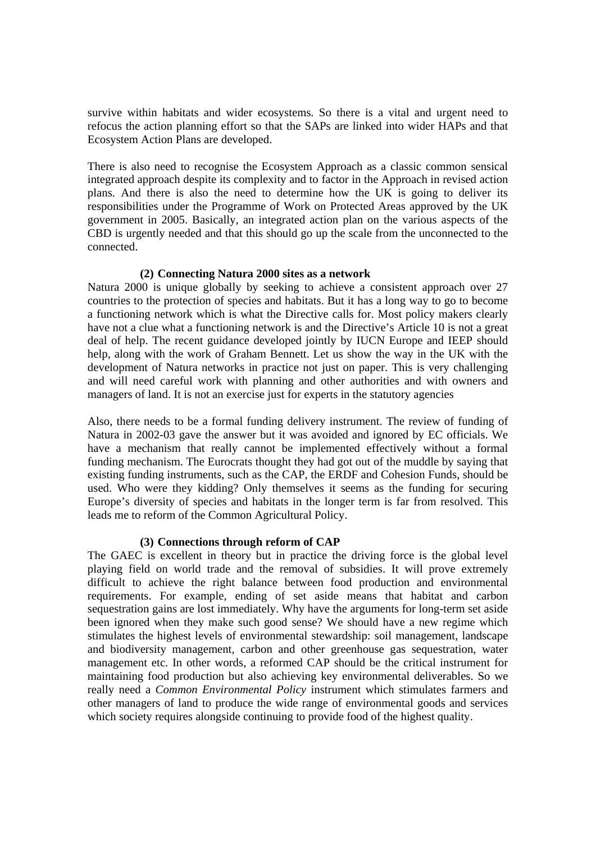survive within habitats and wider ecosystems. So there is a vital and urgent need to refocus the action planning effort so that the SAPs are linked into wider HAPs and that Ecosystem Action Plans are developed.

There is also need to recognise the Ecosystem Approach as a classic common sensical integrated approach despite its complexity and to factor in the Approach in revised action plans. And there is also the need to determine how the UK is going to deliver its responsibilities under the Programme of Work on Protected Areas approved by the UK government in 2005. Basically, an integrated action plan on the various aspects of the CBD is urgently needed and that this should go up the scale from the unconnected to the connected.

### **(2) Connecting Natura 2000 sites as a network**

Natura 2000 is unique globally by seeking to achieve a consistent approach over 27 countries to the protection of species and habitats. But it has a long way to go to become a functioning network which is what the Directive calls for. Most policy makers clearly have not a clue what a functioning network is and the Directive's Article 10 is not a great deal of help. The recent guidance developed jointly by IUCN Europe and IEEP should help, along with the work of Graham Bennett. Let us show the way in the UK with the development of Natura networks in practice not just on paper. This is very challenging and will need careful work with planning and other authorities and with owners and managers of land. It is not an exercise just for experts in the statutory agencies

Also, there needs to be a formal funding delivery instrument. The review of funding of Natura in 2002-03 gave the answer but it was avoided and ignored by EC officials. We have a mechanism that really cannot be implemented effectively without a formal funding mechanism. The Eurocrats thought they had got out of the muddle by saying that existing funding instruments, such as the CAP, the ERDF and Cohesion Funds, should be used. Who were they kidding? Only themselves it seems as the funding for securing Europe's diversity of species and habitats in the longer term is far from resolved. This leads me to reform of the Common Agricultural Policy.

## **(3) Connections through reform of CAP**

The GAEC is excellent in theory but in practice the driving force is the global level playing field on world trade and the removal of subsidies. It will prove extremely difficult to achieve the right balance between food production and environmental requirements. For example, ending of set aside means that habitat and carbon sequestration gains are lost immediately. Why have the arguments for long-term set aside been ignored when they make such good sense? We should have a new regime which stimulates the highest levels of environmental stewardship: soil management, landscape and biodiversity management, carbon and other greenhouse gas sequestration, water management etc. In other words, a reformed CAP should be the critical instrument for maintaining food production but also achieving key environmental deliverables. So we really need a *Common Environmental Policy* instrument which stimulates farmers and other managers of land to produce the wide range of environmental goods and services which society requires alongside continuing to provide food of the highest quality.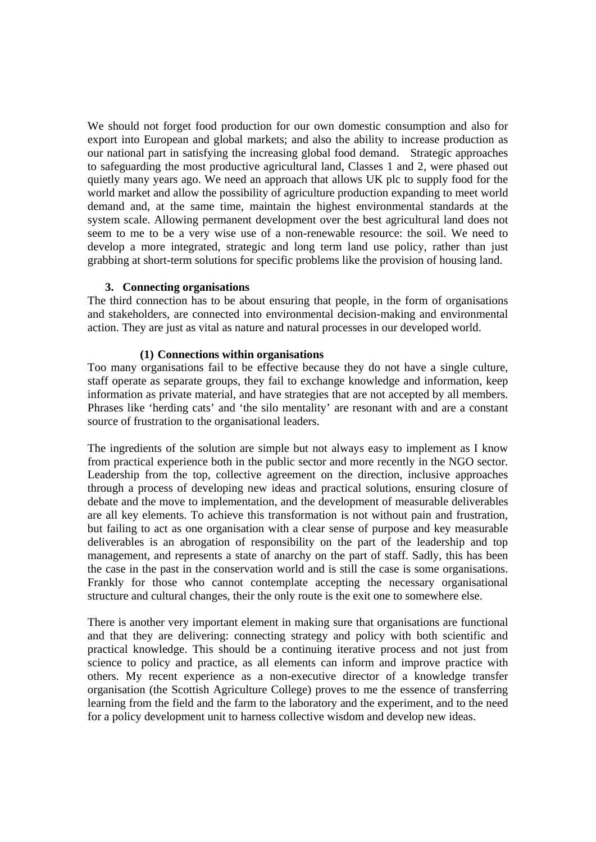We should not forget food production for our own domestic consumption and also for export into European and global markets; and also the ability to increase production as our national part in satisfying the increasing global food demand. Strategic approaches to safeguarding the most productive agricultural land, Classes 1 and 2, were phased out quietly many years ago. We need an approach that allows UK plc to supply food for the world market and allow the possibility of agriculture production expanding to meet world demand and, at the same time, maintain the highest environmental standards at the system scale. Allowing permanent development over the best agricultural land does not seem to me to be a very wise use of a non-renewable resource: the soil. We need to develop a more integrated, strategic and long term land use policy, rather than just grabbing at short-term solutions for specific problems like the provision of housing land.

### **3. Connecting organisations**

The third connection has to be about ensuring that people, in the form of organisations and stakeholders, are connected into environmental decision-making and environmental action. They are just as vital as nature and natural processes in our developed world.

### **(1) Connections within organisations**

Too many organisations fail to be effective because they do not have a single culture, staff operate as separate groups, they fail to exchange knowledge and information, keep information as private material, and have strategies that are not accepted by all members. Phrases like 'herding cats' and 'the silo mentality' are resonant with and are a constant source of frustration to the organisational leaders.

The ingredients of the solution are simple but not always easy to implement as I know from practical experience both in the public sector and more recently in the NGO sector. Leadership from the top, collective agreement on the direction, inclusive approaches through a process of developing new ideas and practical solutions, ensuring closure of debate and the move to implementation, and the development of measurable deliverables are all key elements. To achieve this transformation is not without pain and frustration, but failing to act as one organisation with a clear sense of purpose and key measurable deliverables is an abrogation of responsibility on the part of the leadership and top management, and represents a state of anarchy on the part of staff. Sadly, this has been the case in the past in the conservation world and is still the case is some organisations. Frankly for those who cannot contemplate accepting the necessary organisational structure and cultural changes, their the only route is the exit one to somewhere else.

There is another very important element in making sure that organisations are functional and that they are delivering: connecting strategy and policy with both scientific and practical knowledge. This should be a continuing iterative process and not just from science to policy and practice, as all elements can inform and improve practice with others. My recent experience as a non-executive director of a knowledge transfer organisation (the Scottish Agriculture College) proves to me the essence of transferring learning from the field and the farm to the laboratory and the experiment, and to the need for a policy development unit to harness collective wisdom and develop new ideas.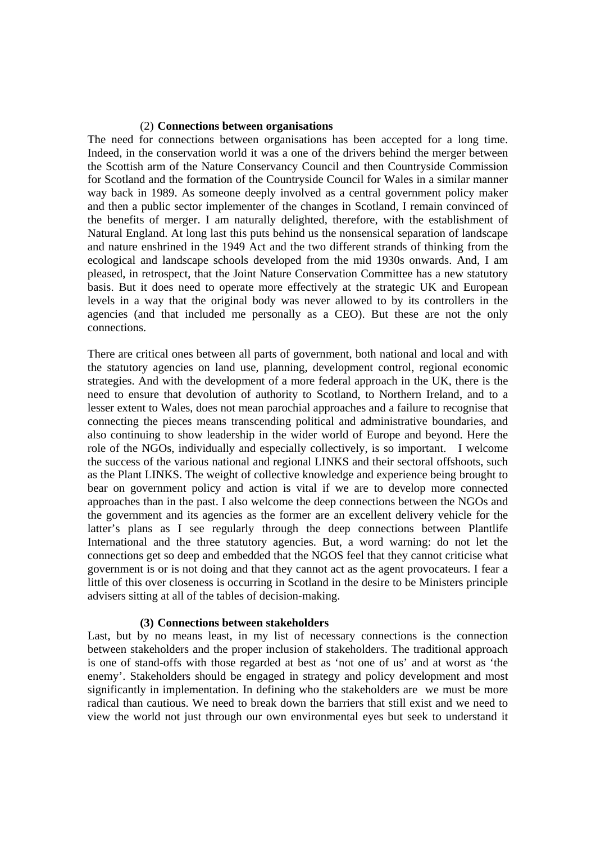#### (2) **Connections between organisations**

The need for connections between organisations has been accepted for a long time. Indeed, in the conservation world it was a one of the drivers behind the merger between the Scottish arm of the Nature Conservancy Council and then Countryside Commission for Scotland and the formation of the Countryside Council for Wales in a similar manner way back in 1989. As someone deeply involved as a central government policy maker and then a public sector implementer of the changes in Scotland, I remain convinced of the benefits of merger. I am naturally delighted, therefore, with the establishment of Natural England. At long last this puts behind us the nonsensical separation of landscape and nature enshrined in the 1949 Act and the two different strands of thinking from the ecological and landscape schools developed from the mid 1930s onwards. And, I am pleased, in retrospect, that the Joint Nature Conservation Committee has a new statutory basis. But it does need to operate more effectively at the strategic UK and European levels in a way that the original body was never allowed to by its controllers in the agencies (and that included me personally as a CEO). But these are not the only connections.

There are critical ones between all parts of government, both national and local and with the statutory agencies on land use, planning, development control, regional economic strategies. And with the development of a more federal approach in the UK, there is the need to ensure that devolution of authority to Scotland, to Northern Ireland, and to a lesser extent to Wales, does not mean parochial approaches and a failure to recognise that connecting the pieces means transcending political and administrative boundaries, and also continuing to show leadership in the wider world of Europe and beyond. Here the role of the NGOs, individually and especially collectively, is so important. I welcome the success of the various national and regional LINKS and their sectoral offshoots, such as the Plant LINKS. The weight of collective knowledge and experience being brought to bear on government policy and action is vital if we are to develop more connected approaches than in the past. I also welcome the deep connections between the NGOs and the government and its agencies as the former are an excellent delivery vehicle for the latter's plans as I see regularly through the deep connections between Plantlife International and the three statutory agencies. But, a word warning: do not let the connections get so deep and embedded that the NGOS feel that they cannot criticise what government is or is not doing and that they cannot act as the agent provocateurs. I fear a little of this over closeness is occurring in Scotland in the desire to be Ministers principle advisers sitting at all of the tables of decision-making.

### **(3) Connections between stakeholders**

Last, but by no means least, in my list of necessary connections is the connection between stakeholders and the proper inclusion of stakeholders. The traditional approach is one of stand-offs with those regarded at best as 'not one of us' and at worst as 'the enemy'. Stakeholders should be engaged in strategy and policy development and most significantly in implementation. In defining who the stakeholders are we must be more radical than cautious. We need to break down the barriers that still exist and we need to view the world not just through our own environmental eyes but seek to understand it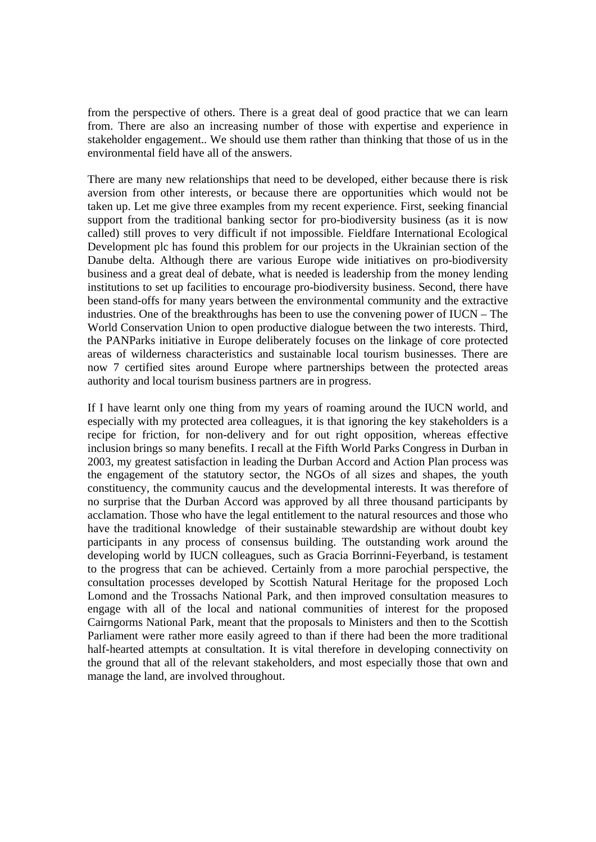from the perspective of others. There is a great deal of good practice that we can learn from. There are also an increasing number of those with expertise and experience in stakeholder engagement.. We should use them rather than thinking that those of us in the environmental field have all of the answers.

There are many new relationships that need to be developed, either because there is risk aversion from other interests, or because there are opportunities which would not be taken up. Let me give three examples from my recent experience. First, seeking financial support from the traditional banking sector for pro-biodiversity business (as it is now called) still proves to very difficult if not impossible. Fieldfare International Ecological Development plc has found this problem for our projects in the Ukrainian section of the Danube delta. Although there are various Europe wide initiatives on pro-biodiversity business and a great deal of debate, what is needed is leadership from the money lending institutions to set up facilities to encourage pro-biodiversity business. Second, there have been stand-offs for many years between the environmental community and the extractive industries. One of the breakthroughs has been to use the convening power of IUCN – The World Conservation Union to open productive dialogue between the two interests. Third, the PANParks initiative in Europe deliberately focuses on the linkage of core protected areas of wilderness characteristics and sustainable local tourism businesses. There are now 7 certified sites around Europe where partnerships between the protected areas authority and local tourism business partners are in progress.

If I have learnt only one thing from my years of roaming around the IUCN world, and especially with my protected area colleagues, it is that ignoring the key stakeholders is a recipe for friction, for non-delivery and for out right opposition, whereas effective inclusion brings so many benefits. I recall at the Fifth World Parks Congress in Durban in 2003, my greatest satisfaction in leading the Durban Accord and Action Plan process was the engagement of the statutory sector, the NGOs of all sizes and shapes, the youth constituency, the community caucus and the developmental interests. It was therefore of no surprise that the Durban Accord was approved by all three thousand participants by acclamation. Those who have the legal entitlement to the natural resources and those who have the traditional knowledge of their sustainable stewardship are without doubt key participants in any process of consensus building. The outstanding work around the developing world by IUCN colleagues, such as Gracia Borrinni-Feyerband, is testament to the progress that can be achieved. Certainly from a more parochial perspective, the consultation processes developed by Scottish Natural Heritage for the proposed Loch Lomond and the Trossachs National Park, and then improved consultation measures to engage with all of the local and national communities of interest for the proposed Cairngorms National Park, meant that the proposals to Ministers and then to the Scottish Parliament were rather more easily agreed to than if there had been the more traditional half-hearted attempts at consultation. It is vital therefore in developing connectivity on the ground that all of the relevant stakeholders, and most especially those that own and manage the land, are involved throughout.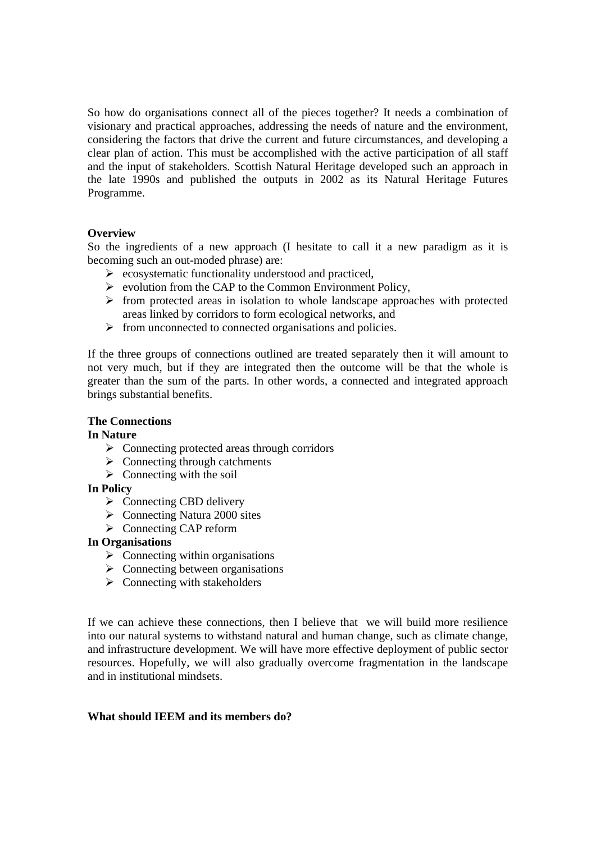So how do organisations connect all of the pieces together? It needs a combination of visionary and practical approaches, addressing the needs of nature and the environment, considering the factors that drive the current and future circumstances, and developing a clear plan of action. This must be accomplished with the active participation of all staff and the input of stakeholders. Scottish Natural Heritage developed such an approach in the late 1990s and published the outputs in 2002 as its Natural Heritage Futures Programme.

## **Overview**

So the ingredients of a new approach (I hesitate to call it a new paradigm as it is becoming such an out-moded phrase) are:

- $\triangleright$  ecosystematic functionality understood and practiced,
- $\triangleright$  evolution from the CAP to the Common Environment Policy,
- $\triangleright$  from protected areas in isolation to whole landscape approaches with protected areas linked by corridors to form ecological networks, and
- $\triangleright$  from unconnected to connected organisations and policies.

If the three groups of connections outlined are treated separately then it will amount to not very much, but if they are integrated then the outcome will be that the whole is greater than the sum of the parts. In other words, a connected and integrated approach brings substantial benefits.

# **The Connections**

## **In Nature**

- $\triangleright$  Connecting protected areas through corridors
- $\triangleright$  Connecting through catchments
- $\triangleright$  Connecting with the soil

## **In Policy**

- $\triangleright$  Connecting CBD delivery
- $\triangleright$  Connecting Natura 2000 sites
- ¾ Connecting CAP reform

## **In Organisations**

- $\triangleright$  Connecting within organisations
- $\triangleright$  Connecting between organisations
- $\triangleright$  Connecting with stakeholders

If we can achieve these connections, then I believe that we will build more resilience into our natural systems to withstand natural and human change, such as climate change, and infrastructure development. We will have more effective deployment of public sector resources. Hopefully, we will also gradually overcome fragmentation in the landscape and in institutional mindsets.

### **What should IEEM and its members do?**